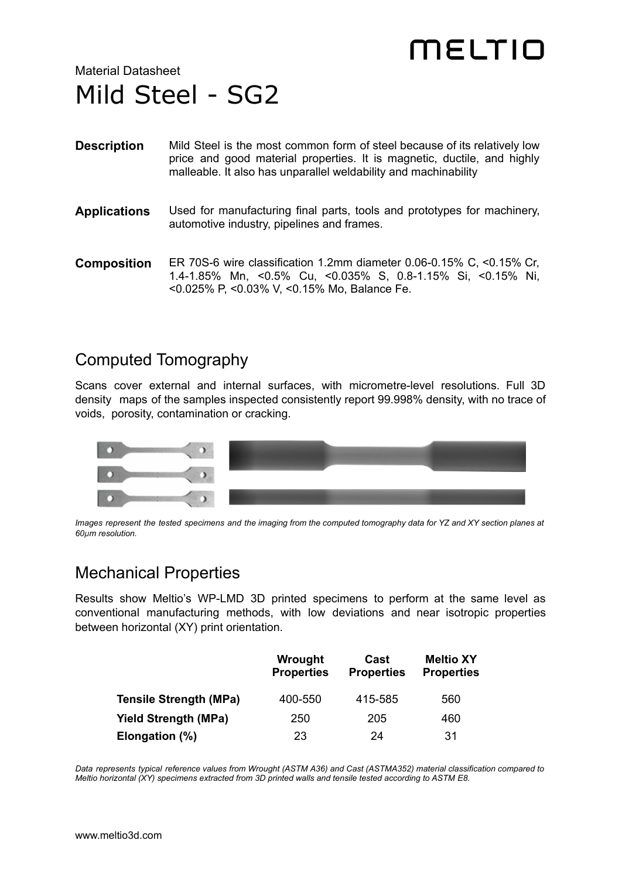# MELTIO

Material Datasheet Mild Steel - SG2

| <b>Description</b> | Mild Steel is the most common form of steel because of its relatively low<br>price and good material properties. It is magnetic, ductile, and highly<br>malleable. It also has unparallel weldability and machinability |
|--------------------|-------------------------------------------------------------------------------------------------------------------------------------------------------------------------------------------------------------------------|
| Applications       | Used for manufacturing final parts, tools and prototypes for machinery,<br>automotive industry, pipelines and frames.                                                                                                   |
| Composition        | ER 70S-6 wire classification 1.2mm diameter 0.06-0.15% C, <0.15% Cr,<br>1.4-1.85% Mn, <0.5% Cu, <0.035% S, 0.8-1.15% Si, <0.15% Ni,<br><0.025% P, <0.03% V, <0.15% Mo, Balance Fe.                                      |

#### Computed Tomography

Scans cover external and internal surfaces, with micrometre-level resolutions. Full 3D density maps of the samples inspected consistently report 99.998% density, with no trace of voids, porosity, contamination or cracking.



Images represent the tested specimens and the imaging from the computed tomography data for YZ and XY section planes at *60µm resolution.*

### Mechanical Properties

Results show Meltio's WP-LMD 3D printed specimens to perform at the same level as conventional manufacturing methods, with low deviations and near isotropic properties between horizontal (XY) print orientation.

|                               | Wrought<br><b>Properties</b> | Cast<br><b>Properties</b> | <b>Meltio XY</b><br><b>Properties</b> |
|-------------------------------|------------------------------|---------------------------|---------------------------------------|
| <b>Tensile Strength (MPa)</b> | 400-550                      | 415-585                   | 560                                   |
| <b>Yield Strength (MPa)</b>   | 250                          | 205                       | 460                                   |
| Elongation (%)                | 23                           | 24                        | 31                                    |

Data represents typical reference values from Wrought (ASTM A36) and Cast (ASTMA352) material classification compared to *Meltio horizontal (XY) specimens extracted from 3D printed walls and tensile tested according to ASTM E8.*